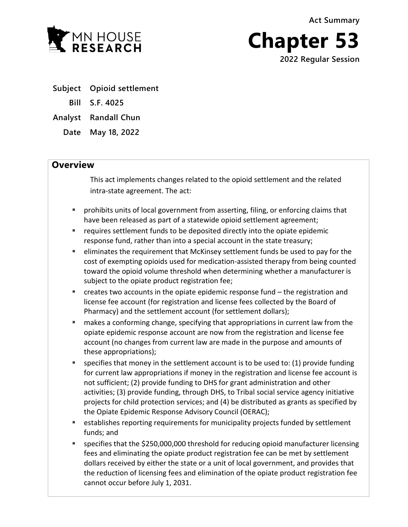**Act Summary**



**Chapter 53 2022 Regular Session**

- **Subject Opioid settlement**
	- **Bill S.F. 4025**

**Analyst Randall Chun**

**Date May 18, 2022**

## **Overview**

This act implements changes related to the opioid settlement and the related intra-state agreement. The act:

- prohibits units of local government from asserting, filing, or enforcing claims that have been released as part of a statewide opioid settlement agreement;
- requires settlement funds to be deposited directly into the opiate epidemic response fund, rather than into a special account in the state treasury;
- eliminates the requirement that McKinsey settlement funds be used to pay for the cost of exempting opioids used for medication-assisted therapy from being counted toward the opioid volume threshold when determining whether a manufacturer is subject to the opiate product registration fee;
- $\blacksquare$  creates two accounts in the opiate epidemic response fund  $-$  the registration and license fee account (for registration and license fees collected by the Board of Pharmacy) and the settlement account (for settlement dollars);
- makes a conforming change, specifying that appropriations in current law from the opiate epidemic response account are now from the registration and license fee account (no changes from current law are made in the purpose and amounts of these appropriations);
- **S** specifies that money in the settlement account is to be used to: (1) provide funding for current law appropriations if money in the registration and license fee account is not sufficient; (2) provide funding to DHS for grant administration and other activities; (3) provide funding, through DHS, to Tribal social service agency initiative projects for child protection services; and (4) be distributed as grants as specified by the Opiate Epidemic Response Advisory Council (OERAC);
- establishes reporting requirements for municipality projects funded by settlement funds; and
- specifies that the \$250,000,000 threshold for reducing opioid manufacturer licensing fees and eliminating the opiate product registration fee can be met by settlement dollars received by either the state or a unit of local government, and provides that the reduction of licensing fees and elimination of the opiate product registration fee cannot occur before July 1, 2031.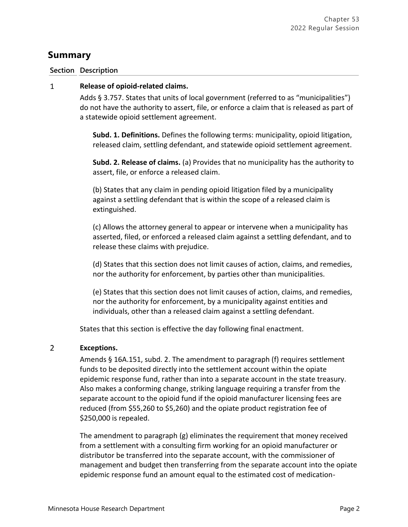# **Summary**

### **Section Description**

#### $\mathbf{1}$ **Release of opioid-related claims.**

Adds § 3.757. States that units of local government (referred to as "municipalities") do not have the authority to assert, file, or enforce a claim that is released as part of a statewide opioid settlement agreement.

**Subd. 1. Definitions.** Defines the following terms: municipality, opioid litigation, released claim, settling defendant, and statewide opioid settlement agreement.

**Subd. 2. Release of claims.** (a) Provides that no municipality has the authority to assert, file, or enforce a released claim.

(b) States that any claim in pending opioid litigation filed by a municipality against a settling defendant that is within the scope of a released claim is extinguished.

(c) Allows the attorney general to appear or intervene when a municipality has asserted, filed, or enforced a released claim against a settling defendant, and to release these claims with prejudice.

(d) States that this section does not limit causes of action, claims, and remedies, nor the authority for enforcement, by parties other than municipalities.

(e) States that this section does not limit causes of action, claims, and remedies, nor the authority for enforcement, by a municipality against entities and individuals, other than a released claim against a settling defendant.

States that this section is effective the day following final enactment.

#### $\overline{2}$ **Exceptions.**

Amends § 16A.151, subd. 2. The amendment to paragraph (f) requires settlement funds to be deposited directly into the settlement account within the opiate epidemic response fund, rather than into a separate account in the state treasury. Also makes a conforming change, striking language requiring a transfer from the separate account to the opioid fund if the opioid manufacturer licensing fees are reduced (from \$55,260 to \$5,260) and the opiate product registration fee of \$250,000 is repealed.

The amendment to paragraph (g) eliminates the requirement that money received from a settlement with a consulting firm working for an opioid manufacturer or distributor be transferred into the separate account, with the commissioner of management and budget then transferring from the separate account into the opiate epidemic response fund an amount equal to the estimated cost of medication-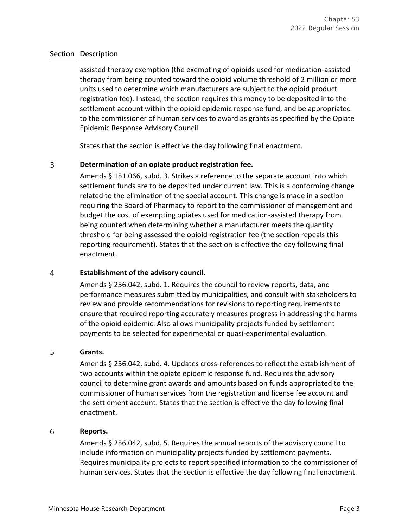assisted therapy exemption (the exempting of opioids used for medication-assisted therapy from being counted toward the opioid volume threshold of 2 million or more units used to determine which manufacturers are subject to the opioid product registration fee). Instead, the section requires this money to be deposited into the settlement account within the opioid epidemic response fund, and be appropriated to the commissioner of human services to award as grants as specified by the Opiate Epidemic Response Advisory Council.

States that the section is effective the day following final enactment.

#### $\overline{3}$ **Determination of an opiate product registration fee.**

Amends § 151.066, subd. 3. Strikes a reference to the separate account into which settlement funds are to be deposited under current law. This is a conforming change related to the elimination of the special account. This change is made in a section requiring the Board of Pharmacy to report to the commissioner of management and budget the cost of exempting opiates used for medication-assisted therapy from being counted when determining whether a manufacturer meets the quantity threshold for being assessed the opioid registration fee (the section repeals this reporting requirement). States that the section is effective the day following final enactment.

#### $\overline{4}$ **Establishment of the advisory council.**

Amends § 256.042, subd. 1. Requires the council to review reports, data, and performance measures submitted by municipalities, and consult with stakeholders to review and provide recommendations for revisions to reporting requirements to ensure that required reporting accurately measures progress in addressing the harms of the opioid epidemic. Also allows municipality projects funded by settlement payments to be selected for experimental or quasi-experimental evaluation.

#### 5 **Grants.**

Amends § 256.042, subd. 4. Updates cross-references to reflect the establishment of two accounts within the opiate epidemic response fund. Requires the advisory council to determine grant awards and amounts based on funds appropriated to the commissioner of human services from the registration and license fee account and the settlement account. States that the section is effective the day following final enactment.

#### 6 **Reports.**

Amends § 256.042, subd. 5. Requires the annual reports of the advisory council to include information on municipality projects funded by settlement payments. Requires municipality projects to report specified information to the commissioner of human services. States that the section is effective the day following final enactment.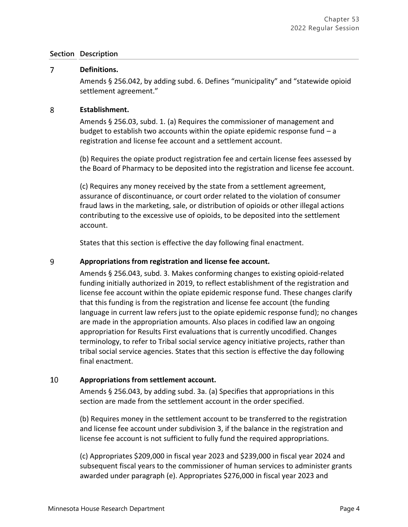#### $\overline{7}$ **Definitions.**

Amends § 256.042, by adding subd. 6. Defines "municipality" and "statewide opioid settlement agreement."

#### 8 **Establishment.**

Amends § 256.03, subd. 1. (a) Requires the commissioner of management and budget to establish two accounts within the opiate epidemic response fund – a registration and license fee account and a settlement account.

(b) Requires the opiate product registration fee and certain license fees assessed by the Board of Pharmacy to be deposited into the registration and license fee account.

(c) Requires any money received by the state from a settlement agreement, assurance of discontinuance, or court order related to the violation of consumer fraud laws in the marketing, sale, or distribution of opioids or other illegal actions contributing to the excessive use of opioids, to be deposited into the settlement account.

States that this section is effective the day following final enactment.

#### 9 **Appropriations from registration and license fee account.**

Amends § 256.043, subd. 3. Makes conforming changes to existing opioid-related funding initially authorized in 2019, to reflect establishment of the registration and license fee account within the opiate epidemic response fund. These changes clarify that this funding is from the registration and license fee account (the funding language in current law refers just to the opiate epidemic response fund); no changes are made in the appropriation amounts. Also places in codified law an ongoing appropriation for Results First evaluations that is currently uncodified. Changes terminology, to refer to Tribal social service agency initiative projects, rather than tribal social service agencies. States that this section is effective the day following final enactment.

#### 10 **Appropriations from settlement account.**

Amends § 256.043, by adding subd. 3a. (a) Specifies that appropriations in this section are made from the settlement account in the order specified.

(b) Requires money in the settlement account to be transferred to the registration and license fee account under subdivision 3, if the balance in the registration and license fee account is not sufficient to fully fund the required appropriations.

(c) Appropriates \$209,000 in fiscal year 2023 and \$239,000 in fiscal year 2024 and subsequent fiscal years to the commissioner of human services to administer grants awarded under paragraph (e). Appropriates \$276,000 in fiscal year 2023 and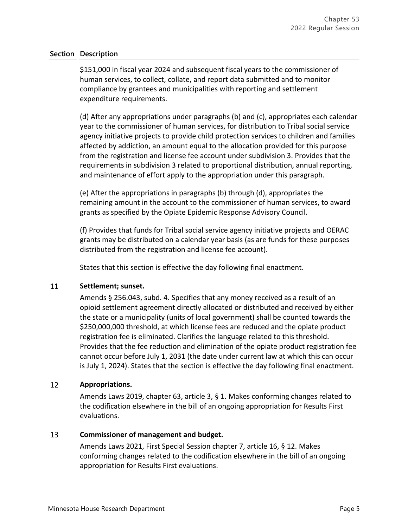\$151,000 in fiscal year 2024 and subsequent fiscal years to the commissioner of human services, to collect, collate, and report data submitted and to monitor compliance by grantees and municipalities with reporting and settlement expenditure requirements.

(d) After any appropriations under paragraphs (b) and (c), appropriates each calendar year to the commissioner of human services, for distribution to Tribal social service agency initiative projects to provide child protection services to children and families affected by addiction, an amount equal to the allocation provided for this purpose from the registration and license fee account under subdivision 3. Provides that the requirements in subdivision 3 related to proportional distribution, annual reporting, and maintenance of effort apply to the appropriation under this paragraph.

(e) After the appropriations in paragraphs (b) through (d), appropriates the remaining amount in the account to the commissioner of human services, to award grants as specified by the Opiate Epidemic Response Advisory Council.

(f) Provides that funds for Tribal social service agency initiative projects and OERAC grants may be distributed on a calendar year basis (as are funds for these purposes distributed from the registration and license fee account).

States that this section is effective the day following final enactment.

#### 11 **Settlement; sunset.**

Amends § 256.043, subd. 4. Specifies that any money received as a result of an opioid settlement agreement directly allocated or distributed and received by either the state or a municipality (units of local government) shall be counted towards the \$250,000,000 threshold, at which license fees are reduced and the opiate product registration fee is eliminated. Clarifies the language related to this threshold. Provides that the fee reduction and elimination of the opiate product registration fee cannot occur before July 1, 2031 (the date under current law at which this can occur is July 1, 2024). States that the section is effective the day following final enactment.

#### 12 **Appropriations.**

Amends Laws 2019, chapter 63, article 3, § 1. Makes conforming changes related to the codification elsewhere in the bill of an ongoing appropriation for Results First evaluations.

#### 13 **Commissioner of management and budget.**

Amends Laws 2021, First Special Session chapter 7, article 16, § 12. Makes conforming changes related to the codification elsewhere in the bill of an ongoing appropriation for Results First evaluations.